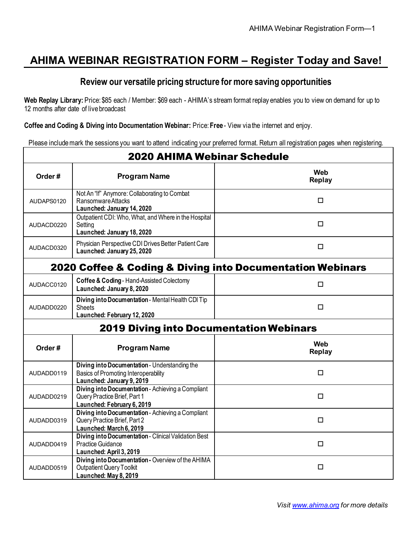## **AHIMA WEBINAR REGISTRATION FORM – Register Today and Save!**

#### **Review our versatile pricing structure for more saving opportunities**

**Web Replay Library:** Price: \$85 each / Member: \$69 each - AHIMA's stream format replay enables you to view on demand for up to 12 months after date of live broadcast

**Coffee and Coding & Diving into Documentation Webinar:** Price: **Free** - View via the internet and enjoy.

Please include mark the sessions you want to attend indicating your preferred format. Return all registration pages when registering.

| <b>2020 AHIMA Webinar Schedule</b> |                                                                                                                           |                                                           |
|------------------------------------|---------------------------------------------------------------------------------------------------------------------------|-----------------------------------------------------------|
| Order#                             | <b>Program Name</b>                                                                                                       | Web<br><b>Replay</b>                                      |
| AUDAPS0120                         | Not An "If" Anymore: Collaborating to Combat<br>Ransomware Attacks<br>Launched: January 14, 2020                          | □                                                         |
| AUDACD0220                         | Outpatient CDI: Who, What, and Where in the Hospital<br>Setting<br>Launched: January 18, 2020                             | □                                                         |
| AUDACD0320                         | Physician Perspective CDI Drives Better Patient Care<br>Launched: January 25, 2020                                        | $\Box$                                                    |
|                                    |                                                                                                                           | 2020 Coffee & Coding & Diving into Documentation Webinars |
| AUDACC0120                         | Coffee & Coding - Hand-Assisted Colectomy<br>Launched: January 8, 2020                                                    | □                                                         |
| AUDADD0220                         | Diving into Documentation - Mental Health CDI Tip<br>Sheets<br>Launched: February 12, 2020                                | □                                                         |
|                                    | <b>2019 Diving into Documentation Webinars</b>                                                                            |                                                           |
| Order#                             | <b>Program Name</b>                                                                                                       | Web<br><b>Replay</b>                                      |
| AUDADD0119                         | Diving into Documentation - Understanding the<br><b>Basics of Promoting Interoperability</b><br>Launched: January 9, 2019 | $\Box$                                                    |
| AUDADD0219                         | Diving into Documentation - Achieving a Compliant<br>Query Practice Brief, Part 1<br>Launched: February 6, 2019           | □                                                         |
| AUDADD0319                         | Diving into Documentation - Achieving a Compliant<br>Query Practice Brief, Part 2<br>Launched: March 6, 2019              | □                                                         |
| AUDADD0419                         | Diving into Documentation - Clinical Validation Best<br><b>Practice Guidance</b><br>Launched: April 3, 2019               | □                                                         |
| AUDADD0519                         | Diving into Documentation - Overview of the AHIMA<br><b>Outpatient Query Toolkit</b><br>Launched: May 8, 2019             | $\Box$                                                    |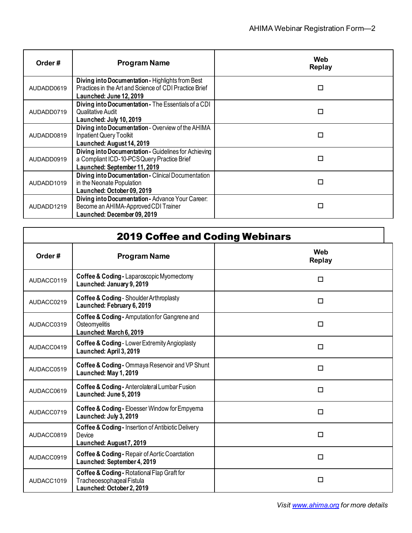| Order#     | <b>Program Name</b>                                                                                                                   | Web<br><b>Replay</b> |
|------------|---------------------------------------------------------------------------------------------------------------------------------------|----------------------|
| AUDADD0619 | Diving into Documentation - Highlights from Best<br>Practices in the Art and Science of CDI Practice Brief<br>Launched: June 12, 2019 | □                    |
| AUDADD0719 | Diving into Documentation - The Essentials of a CDI<br>Qualitative Audit<br>Launched: July 10, 2019                                   | □                    |
| AUDADD0819 | Diving into Documentation - Overview of the AHIMA<br>Inpatient Query Toolkit<br>Launched: August 14, 2019                             | □                    |
| AUDADD0919 | Diving into Documentation - Guidelines for Achieving<br>a Compliant ICD-10-PCS Query Practice Brief<br>Launched: September 11, 2019   | □                    |
| AUDADD1019 | Diving into Documentation - Clinical Documentation<br>in the Neonate Population<br>Launched: October 09, 2019                         | П                    |
| AUDADD1219 | Diving into Documentation - Advance Your Career:<br>Become an AHIMA-Approved CDI Trainer<br>Launched: December 09, 2019               | $\Box$               |

| <b>2019 Coffee and Coding Webinars</b> |                                                                                                       |                      |
|----------------------------------------|-------------------------------------------------------------------------------------------------------|----------------------|
| Order#                                 | <b>Program Name</b>                                                                                   | Web<br><b>Replay</b> |
| AUDACC0119                             | Coffee & Coding - Laparoscopic Myomectomy<br>Launched: January 9, 2019                                | □                    |
| AUDACC0219                             | Coffee & Coding - Shoulder Arthroplasty<br>Launched: February 6, 2019                                 | □                    |
| AUDACC0319                             | Coffee & Coding - Amputation for Gangrene and<br>Osteomyelitis<br>Launched: March 6, 2019             | □                    |
| AUDACC0419                             | Coffee & Coding - Lower Extremity Angioplasty<br>Launched: April 3, 2019                              | □                    |
| AUDACC0519                             | Coffee & Coding - Ommaya Reservoir and VP Shunt<br>Launched: May 1, 2019                              | □                    |
| AUDACC0619                             | Coffee & Coding - Anterolateral Lumbar Fusion<br>Launched: June 5, 2019                               | □                    |
| AUDACC0719                             | Coffee & Coding - Eloesser Window for Empyema<br>Launched: July 3, 2019                               | □                    |
| AUDACC0819                             | <b>Coffee &amp; Coding - Insertion of Antibiotic Delivery</b><br>Device<br>Launched: August 7, 2019   | □                    |
| AUDACC0919                             | Coffee & Coding - Repair of Aortic Coarctation<br>Launched: September 4, 2019                         | п                    |
| AUDACC1019                             | Coffee & Coding - Rotational Flap Graft for<br>Tracheoesophageal Fistula<br>Launched: October 2, 2019 | П                    |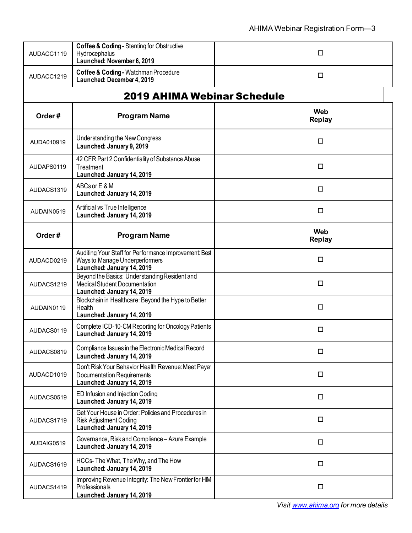| AUDACC1119 | Coffee & Coding - Stenting for Obstructive<br>Hydrocephalus<br>Launched: November 6, 2019                            | □                    |
|------------|----------------------------------------------------------------------------------------------------------------------|----------------------|
| AUDACC1219 | Coffee & Coding - Watchman Procedure<br>Launched: December 4, 2019                                                   | □                    |
|            | <b>2019 AHIMA Webinar Schedule</b>                                                                                   |                      |
| Order#     | <b>Program Name</b>                                                                                                  | Web<br><b>Replay</b> |
| AUDA010919 | Understanding the New Congress<br>Launched: January 9, 2019                                                          | □                    |
| AUDAPS0119 | 42 CFR Part 2 Confidentiality of Substance Abuse<br>Treatment<br>Launched: January 14, 2019                          | □                    |
| AUDACS1319 | ABCs or E & M<br>Launched: January 14, 2019                                                                          | □                    |
| AUDAIN0519 | Artificial vs True Intelligence<br>Launched: January 14, 2019                                                        | □                    |
| Order#     | <b>Program Name</b>                                                                                                  | Web<br><b>Replay</b> |
| AUDACD0219 | Auditing Your Staff for Performance Improvement Best<br>Ways to Manage Underperformers<br>Launched: January 14, 2019 | □                    |
| AUDACS1219 | Beyond the Basics: Understanding Resident and<br><b>Medical Student Documentation</b><br>Launched: January 14, 2019  | □                    |
| AUDAIN0119 | Blockchain in Healthcare: Beyond the Hype to Better<br>Health<br>Launched: January 14, 2019                          | □                    |
| AUDACS0119 | Complete ICD-10-CM Reporting for Oncology Patients<br>Launched: January 14, 2019                                     | □                    |
| AUDACS0819 | Compliance Issues in the Electronic Medical Record<br>Launched: January 14, 2019                                     | □                    |
| AUDACD1019 | Don't Risk Your Behavior Health Revenue: Meet Payer<br>Documentation Requirements<br>Launched: January 14, 2019      | $\Box$               |
| AUDACS0519 | ED Infusion and Injection Coding<br>Launched: January 14, 2019                                                       | □                    |
| AUDACS1719 | Get Your House in Order: Policies and Procedures in<br><b>Risk Adjustment Coding</b><br>Launched: January 14, 2019   | $\Box$               |
| AUDAIG0519 | Governance, Risk and Compliance - Azure Example<br>Launched: January 14, 2019                                        | □                    |
| AUDACS1619 | HCCs-The What, The Why, and The How<br>Launched: January 14, 2019                                                    | $\Box$               |
| AUDACS1419 | Improving Revenue Integrity: The New Frontier for HIM<br>Professionals<br>Launched: January 14, 2019                 | □                    |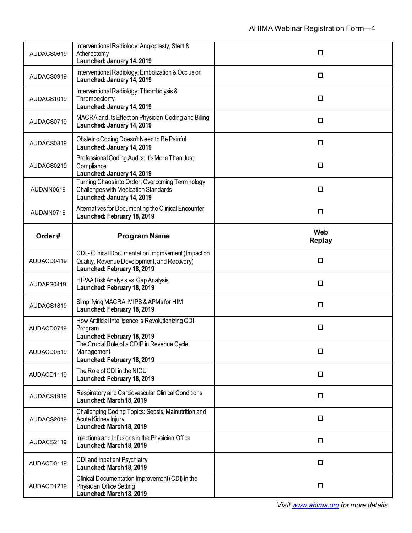| AUDACS0619 | Interventional Radiology: Angioplasty, Stent &<br>Atherectomy<br>Launched: January 14, 2019                                       | □                           |
|------------|-----------------------------------------------------------------------------------------------------------------------------------|-----------------------------|
| AUDACS0919 | Interventional Radiology: Embolization & Occlusion<br>Launched: January 14, 2019                                                  | $\Box$                      |
| AUDACS1019 | Interventional Radiology: Thrombolysis &<br>Thrombectomy<br>Launched: January 14, 2019                                            | □                           |
| AUDACS0719 | MACRA and Its Effect on Physician Coding and Billing<br>Launched: January 14, 2019                                                | □                           |
| AUDACS0319 | Obstetric Coding Doesn't Need to Be Painful<br>Launched: January 14, 2019                                                         | □                           |
| AUDACS0219 | Professional Coding Audits: It's More Than Just<br>Compliance<br>Launched: January 14, 2019                                       | □                           |
| AUDAIN0619 | Turning Chaos into Order: Overcoming Terminology<br><b>Challenges with Medication Standards</b><br>Launched: January 14, 2019     | □                           |
| AUDAIN0719 | Alternatives for Documenting the Clinical Encounter<br>Launched: February 18, 2019                                                | $\Box$                      |
| Order#     | <b>Program Name</b>                                                                                                               | <b>Web</b><br><b>Replay</b> |
| AUDACD0419 | CDI - Clinical Documentation Improvement (Impact on<br>Quality, Revenue Development, and Recovery)<br>Launched: February 18, 2019 | □                           |
| AUDAPS0419 | <b>HIPAA Risk Analysis vs Gap Analysis</b><br>Launched: February 18, 2019                                                         | □                           |
| AUDACS1819 | Simplifying MACRA, MIPS & APMs for HIM<br>Launched: February 18, 2019                                                             | $\Box$                      |
| AUDACD0719 | How Artificial Intelligence is Revolutionizing CDI<br>Program<br>Launched: February 18, 2019                                      | □                           |
| AUDACD0519 | The Crucial Role of a CDIP in Revenue Cycle<br>Management<br>Launched: February 18, 2019                                          | □                           |
| AUDACD1119 | The Role of CDI in the NICU<br>Launched: February 18, 2019                                                                        | □                           |
| AUDACS1919 | Respiratory and Cardiovascular Clinical Conditions<br>Launched: March 18, 2019                                                    | □                           |
| AUDACS2019 | Challenging Coding Topics: Sepsis, Malnutrition and<br>Acute Kidney Injury<br>Launched: March 18, 2019                            | □                           |
| AUDACS2119 | Injections and Infusions in the Physician Office<br>Launched: March 18, 2019                                                      | $\Box$                      |
| AUDACD0119 | CDI and Inpatient Psychiatry<br>Launched: March 18, 2019                                                                          | □                           |
|            | Clinical Documentation Improvement (CDI) in the                                                                                   |                             |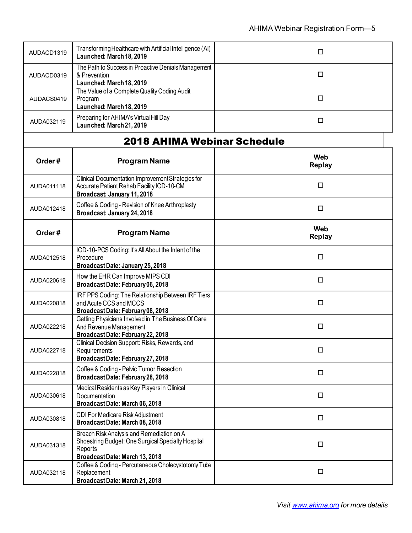| AUDACD1319 | Transforming Healthcare with Artificial Intelligence (AI)<br>Launched: March 18, 2019                                                       | $\Box$               |
|------------|---------------------------------------------------------------------------------------------------------------------------------------------|----------------------|
| AUDACD0319 | The Path to Success in Proactive Denials Management<br>& Prevention<br>Launched: March 18, 2019                                             | □                    |
| AUDACS0419 | The Value of a Complete Quality Coding Audit<br>Program<br>Launched: March 18, 2019                                                         | $\Box$               |
| AUDA032119 | Preparing for AHIMA's Virtual Hill Day<br>Launched: March 21, 2019                                                                          | $\Box$               |
|            | <b>2018 AHIMA Webinar Schedule</b>                                                                                                          |                      |
| Order#     | <b>Program Name</b>                                                                                                                         | Web<br><b>Replay</b> |
| AUDA011118 | Clinical Documentation Improvement Strategies for<br>Accurate Patient Rehab Facility ICD-10-CM<br>Broadcast: January 11, 2018               | $\Box$               |
| AUDA012418 | Coffee & Coding - Revision of Knee Arthroplasty<br>Broadcast: January 24, 2018                                                              | □                    |
| Order#     | <b>Program Name</b>                                                                                                                         | Web<br><b>Replay</b> |
| AUDA012518 | ICD-10-PCS Coding: It's All About the Intent of the<br>Procedure<br>BroadcastDate: January 25, 2018                                         | $\Box$               |
| AUDA020618 | How the EHR Can Improve MIPS CDI<br>BroadcastDate: February06, 2018                                                                         | □                    |
| AUDA020818 | IRF PPS Coding: The Relationship Between IRF Tiers<br>and Acute CCS and MCCS<br>BroadcastDate: February08, 2018                             | $\Box$               |
| AUDA022218 | Getting Physicians Involved in The Business Of Care<br>And Revenue Management<br>BroadcastDate: February 22, 2018                           | $\Box$               |
| AUDA022718 | Clinical Decision Support: Risks, Rewards, and<br>Requirements<br>BroadcastDate: February 27, 2018                                          | □                    |
| AUDA022818 | Coffee & Coding - Pelvic Tumor Resection<br>Broadcast Date: February 28, 2018                                                               | □                    |
| AUDA030618 | Medical Residents as Key Players in Clinical<br>Documentation<br>Broadcast Date: March 06, 2018                                             | $\Box$               |
| AUDA030818 | CDI For Medicare Risk Adjustment<br>Broadcast Date: March 08, 2018                                                                          | □                    |
| AUDA031318 | Breach Risk Analysis and Remediation on A<br>Shoestring Budget: One Surgical Specialty Hospital<br>Reports<br>BroadcastDate: March 13, 2018 | □                    |
| AUDA032118 | Coffee & Coding - Percutaneous Cholecystotomy Tube<br>Replacement<br>BroadcastDate: March 21, 2018                                          | $\Box$               |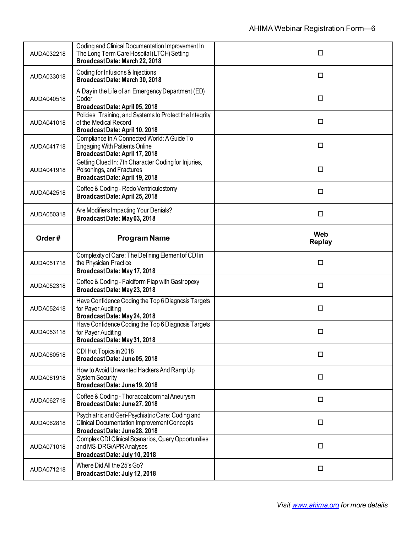| AUDA032218 | Coding and Clinical Documentation Improvement In<br>The Long Term Care Hospital (LTCH) Setting<br>BroadcastDate: March 22, 2018         | □                    |
|------------|-----------------------------------------------------------------------------------------------------------------------------------------|----------------------|
| AUDA033018 | Coding for Infusions & Injections<br>BroadcastDate: March 30, 2018                                                                      | □                    |
| AUDA040518 | A Day in the Life of an Emergency Department (ED)<br>Coder<br>BroadcastDate: April 05, 2018                                             | $\Box$               |
| AUDA041018 | Policies, Training, and Systems to Protect the Integrity<br>of the Medical Record<br>BroadcastDate: April 10, 2018                      | $\Box$               |
| AUDA041718 | Compliance In A Connected World: A Guide To<br><b>Engaging With Patients Online</b><br>BroadcastDate: April 17, 2018                    | □                    |
| AUDA041918 | Getting Clued In: 7th Character Coding for Injuries,<br>Poisonings, and Fractures<br>BroadcastDate: April 19, 2018                      | □                    |
| AUDA042518 | Coffee & Coding - Redo Ventriculostomy<br>Broadcast Date: April 25, 2018                                                                | $\Box$               |
| AUDA050318 | Are Modifiers Impacting Your Denials?<br>BroadcastDate: May 03, 2018                                                                    | $\Box$               |
| Order#     | <b>Program Name</b>                                                                                                                     | Web<br><b>Replay</b> |
|            | Complexity of Care: The Defining Element of CDI in                                                                                      |                      |
| AUDA051718 | the Physician Practice<br>BroadcastDate: May 17, 2018                                                                                   | $\Box$               |
| AUDA052318 | Coffee & Coding - Falciform Flap with Gastropexy<br>BroadcastDate: May 23, 2018                                                         | $\Box$               |
| AUDA052418 | Have Confidence Coding the Top 6 Diagnosis Targets<br>for Payer Auditing<br>BroadcastDate: May 24, 2018                                 | $\Box$               |
| AUDA053118 | Have Confidence Coding the Top 6 Diagnosis Targets<br>for Payer Auditing<br>BroadcastDate: May 31, 2018                                 | □                    |
| AUDA060518 | CDI Hot Topics in 2018<br>BroadcastDate: June05, 2018                                                                                   | □                    |
| AUDA061918 | How to Avoid Unwanted Hackers And Ramp Up<br><b>System Security</b><br>BroadcastDate: June 19, 2018                                     | □                    |
| AUDA062718 | Coffee & Coding - Thoracoabdominal Aneurysm<br>BroadcastDate: June27, 2018                                                              | $\Box$               |
| AUDA062818 | Psychiatric and Geri-Psychiatric Care: Coding and<br><b>Clinical Documentation Improvement Concepts</b><br>BroadcastDate: June 28, 2018 | □                    |
| AUDA071018 | Complex CDI Clinical Scenarios, Query Opportunities<br>and MS-DRG/APR Analyses<br>BroadcastDate: July 10, 2018                          | □                    |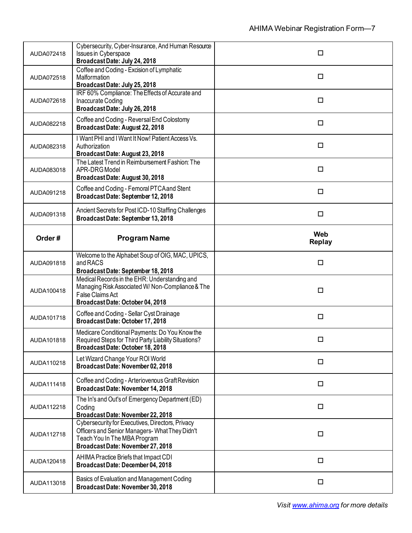| AUDA072418 | Cybersecurity, Cyber-Insurance, And Human Resource<br><b>Issues in Cyberspace</b><br>BroadcastDate: July 24, 2018                                                      | □                           |
|------------|------------------------------------------------------------------------------------------------------------------------------------------------------------------------|-----------------------------|
| AUDA072518 | Coffee and Coding - Excision of Lymphatic<br>Malformation<br>BroadcastDate: July 25, 2018                                                                              | □                           |
| AUDA072618 | IRF 60% Compliance: The Effects of Accurate and<br>Inaccurate Coding<br>BroadcastDate: July 26, 2018                                                                   | $\Box$                      |
| AUDA082218 | Coffee and Coding - Reversal End Colostomy<br>BroadcastDate: August 22, 2018                                                                                           | $\Box$                      |
| AUDA082318 | I Want PHI and I Want It Now! Patient Access Vs.<br>Authorization<br>Broadcast Date: August 23, 2018                                                                   | $\Box$                      |
| AUDA083018 | The Latest Trend in Reimbursement Fashion: The<br>APR-DRG Model<br>Broadcast Date: August 30, 2018                                                                     | $\Box$                      |
| AUDA091218 | Coffee and Coding - Femoral PTCA and Stent<br>Broadcast Date: September 12, 2018                                                                                       | □                           |
| AUDA091318 | Ancient Secrets for Post ICD-10 Staffing Challenges<br>Broadcast Date: September 13, 2018                                                                              | $\Box$                      |
| Order#     | <b>Program Name</b>                                                                                                                                                    | <b>Web</b><br><b>Replay</b> |
| AUDA091818 | Welcome to the Alphabet Soup of OIG, MAC, UPICS,<br>and RACS                                                                                                           | □                           |
|            | Broadcast Date: September 18, 2018                                                                                                                                     |                             |
| AUDA100418 | Medical Records in the EHR: Understanding and<br>Managing Risk Associated W/Non-Compliance & The<br>False Claims Act<br>Broadcast Date: October 04, 2018               | $\Box$                      |
| AUDA101718 | Coffee and Coding - Sellar Cyst Drainage<br>BroadcastDate: October 17, 2018                                                                                            | $\Box$                      |
| AUDA101818 | Medicare Conditional Payments: Do You Know the<br>Required Steps for Third Party Liability Situations?<br>Broadcast Date: October 18, 2018                             | $\Box$                      |
| AUDA110218 | Let Wizard Change Your ROI World<br>BroadcastDate: November 02, 2018                                                                                                   | $\Box$                      |
| AUDA111418 | Coffee and Coding - Arteriovenous Graft Revision<br>BroadcastDate: November 14, 2018                                                                                   | □                           |
| AUDA112218 | The In's and Out's of Emergency Department (ED)<br>Coding<br>Broadcast Date: November 22, 2018                                                                         | $\Box$                      |
| AUDA112718 | Cybersecurity for Executives, Directors, Privacy<br>Officers and Senior Managers-What They Didn't<br>Teach You In The MBA Program<br>Broadcast Date: November 27, 2018 | □                           |
| AUDA120418 | AHIMA Practice Briefs that Impact CDI<br>Broadcast Date: December 04, 2018                                                                                             | $\Box$                      |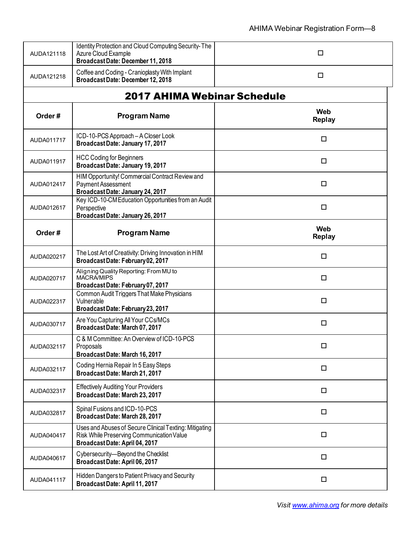| AUDA121118 | Identity Protection and Cloud Computing Security-The<br>Azure Cloud Example<br>BroadcastDate: December 11, 2018                      | □                    |
|------------|--------------------------------------------------------------------------------------------------------------------------------------|----------------------|
| AUDA121218 | Coffee and Coding - Cranioplasty With Implant<br>BroadcastDate: December 12, 2018                                                    | □                    |
|            | <b>2017 AHIMA Webinar Schedule</b>                                                                                                   |                      |
| Order#     | <b>Program Name</b>                                                                                                                  | Web<br><b>Replay</b> |
| AUDA011717 | ICD-10-PCS Approach - A Closer Look<br>Broadcast Date: January 17, 2017                                                              | □                    |
| AUDA011917 | <b>HCC Coding for Beginners</b><br>Broadcast Date: January 19, 2017                                                                  | □                    |
| AUDA012417 | HIM Opportunity! Commercial Contract Review and<br><b>Payment Assessment</b><br>Broadcast Date: January 24, 2017                     | □                    |
| AUDA012617 | Key ICD-10-CM Education Opportunities from an Audit<br>Perspective<br>Broadcast Date: January 26, 2017                               | □                    |
| Order#     | <b>Program Name</b>                                                                                                                  | Web<br><b>Replay</b> |
| AUDA020217 | The Lost Art of Creativity: Driving Innovation in HIM<br>BroadcastDate: February 02, 2017                                            | □                    |
| AUDA020717 | Aligning Quality Reporting: From MU to<br><b>MACRA/MIPS</b><br>BroadcastDate: February 07, 2017                                      | $\Box$               |
| AUDA022317 | Common Audit Triggers That Make Physicians<br>Vulnerable<br>BroadcastDate: February 23, 2017                                         | □                    |
| AUDA030717 | Are You Capturing All Your CCs/MCs<br>BroadcastDate: March 07, 2017                                                                  | □                    |
| AUDA032117 | C & M Committee: An Overview of ICD-10-PCS<br>Proposals<br>BroadcastDate: March 16, 2017                                             | □                    |
| AUDA032117 | Coding Hernia Repair In 5 Easy Steps<br>Broadcast Date: March 21, 2017                                                               | □                    |
| AUDA032317 | <b>Effectively Auditing Your Providers</b><br>BroadcastDate: March 23, 2017                                                          | $\Box$               |
| AUDA032817 | Spinal Fusions and ICD-10-PCS<br>Broadcast Date: March 28, 2017                                                                      | $\Box$               |
| AUDA040417 | Uses and Abuses of Secure Clinical Texting: Mitigating<br>Risk While Preserving Communication Value<br>BroadcastDate: April 04, 2017 | $\Box$               |
| AUDA040617 | Cybersecurity-Beyond the Checklist<br>Broadcast Date: April 06, 2017                                                                 | $\Box$               |
| AUDA041117 | Hidden Dangers to Patient Privacy and Security<br>Broadcast Date: April 11, 2017                                                     | $\Box$               |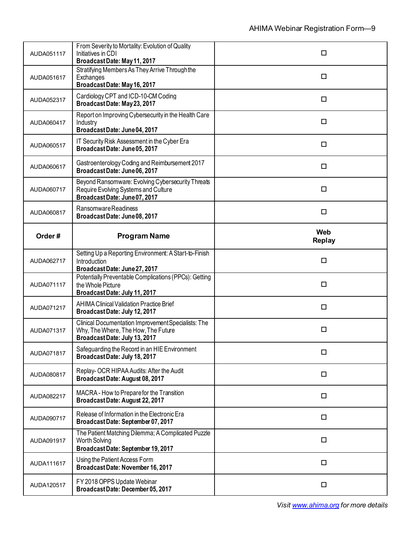| AUDA051117 | From Severity to Mortality: Evolution of Quality<br>Initiatives in CDI<br>BroadcastDate: May 11, 2017                       | □                    |
|------------|-----------------------------------------------------------------------------------------------------------------------------|----------------------|
| AUDA051617 | Stratifying Members As They Arrive Through the<br>Exchanges<br>BroadcastDate: May 16, 2017                                  | □                    |
| AUDA052317 | Cardiology CPT and ICD-10-CM Coding<br>BroadcastDate: May 23, 2017                                                          | $\Box$               |
| AUDA060417 | Report on Improving Cybersecurity in the Health Care<br>Industry<br>BroadcastDate: June04, 2017                             | $\Box$               |
| AUDA060517 | IT Security Risk Assessment in the Cyber Era<br>BroadcastDate: June05, 2017                                                 | □                    |
| AUDA060617 | Gastroenterology Coding and Reimbursement 2017<br>BroadcastDate: June06, 2017                                               | □                    |
| AUDA060717 | Beyond Ransomware: Evolving Cybersecurity Threats<br>Require Evolving Systems and Culture<br>BroadcastDate: June07, 2017    | □                    |
| AUDA060817 | Ransomware Readiness<br>BroadcastDate: June08, 2017                                                                         | $\Box$               |
| Order#     | <b>Program Name</b>                                                                                                         | Web<br><b>Replay</b> |
| AUDA062717 | Setting Up a Reporting Environment: A Start-to-Finish<br>Introduction<br>BroadcastDate: June 27, 2017                       | $\Box$               |
| AUDA071117 | Potentially Preventable Complications (PPCs): Getting<br>the Whole Picture<br>Broadcast Date: July 11, 2017                 | $\Box$               |
| AUDA071217 | <b>AHIMA Clinical Validation Practice Brief</b><br>Broadcast Date: July 12, 2017                                            | $\Box$               |
| AUDA071317 | Clinical Documentation Improvement Specialists: The<br>Why, The Where, The How, The Future<br>Broadcast Date: July 13, 2017 | □                    |
| AUDA071817 | Safeguarding the Record in an HIE Environment<br>BroadcastDate: July 18, 2017                                               | □                    |
| AUDA080817 | Replay- OCR HIPAA Audits: After the Audit<br>Broadcast Date: August 08, 2017                                                | $\Box$               |
| AUDA082217 | MACRA - How to Prepare for the Transition<br>Broadcast Date: August 22, 2017                                                | $\Box$               |
| AUDA090717 | Release of Information in the Electronic Era<br>BroadcastDate: September 07, 2017                                           | $\Box$               |
| AUDA091917 | The Patient Matching Dilemma; A Complicated Puzzle<br><b>Worth Solving</b><br>BroadcastDate: September 19, 2017             | □                    |
| AUDA111617 | Using the Patient Access Form<br>BroadcastDate: November 16, 2017                                                           | $\Box$               |
| AUDA120517 | FY 2018 OPPS Update Webinar                                                                                                 |                      |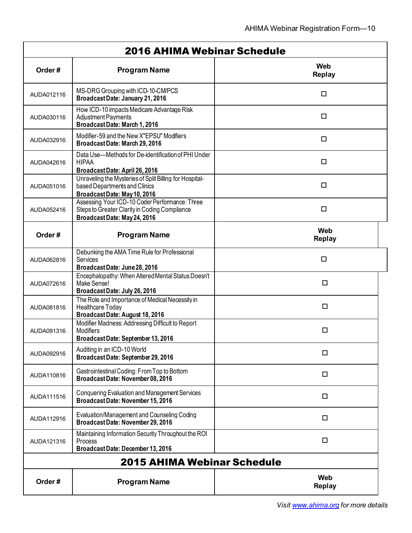| <b>2016 AHIMA Webinar Schedule</b> |                                                                                                                                |                             |
|------------------------------------|--------------------------------------------------------------------------------------------------------------------------------|-----------------------------|
| Order#                             | <b>Program Name</b>                                                                                                            | Web<br><b>Replay</b>        |
| AUDA012116                         | MS-DRG Grouping with ICD-10-CMPCS<br>Broadcast Date: January 21, 2016                                                          | □                           |
| AUDA030116                         | How ICD-10 impacts Medicare Advantage Risk<br><b>Adjustment Payments</b><br>BroadcastDate: March 1, 2016                       | □                           |
| AUDA032916                         | Modifier-59 and the New X"EPSU" Modifiers<br>Broadcast Date: March 29, 2016                                                    | □                           |
| AUDA042616                         | Data Use-Methods for De-identification of PHI Under<br><b>HIPAA</b><br>BroadcastDate: April 26, 2016                           | □                           |
| AUDA051016                         | Unraveling the Mysteries of Split Billing for Hospital-<br>based Departments and Clinics<br>BroadcastDate: May 10, 2016        | □                           |
| AUDA052416                         | Assessing Your ICD-10 Coder Performance: Three<br>Steps to Greater Clarity in Coding Compliance<br>BroadcastDate: May 24, 2016 | $\Box$                      |
| Order#                             | <b>Program Name</b>                                                                                                            | <b>Web</b><br><b>Replay</b> |
| AUDA062816                         | Debunking the AMA Time Rule for Professional<br><b>Services</b><br>BroadcastDate: June 28, 2016                                | □                           |
| AUDA072616                         | Encephalopathy: When Altered Mental Status Doesn't<br>Make Sense!<br>BroadcastDate: July 26, 2016                              | $\Box$                      |
| AUDA081816                         | The Role and Importance of Medical Necessity in<br>Healthcare Today<br>Broadcast Date: August 18, 2016                         | □                           |
| AUDA091316                         | Modifier Madness: Addressing Difficult to Report<br><b>Modifiers</b><br>Broadcast Date: September 13, 2016                     | $\Box$                      |
| AUDA092916                         | Auditing in an ICD-10 World<br>Broadcast Date: September 29, 2016                                                              | $\Box$                      |
| AUDA110816                         | Gastrointestinal Coding: From Top to Bottom<br>BroadcastDate: November 08, 2016                                                | □                           |
| AUDA111516                         | <b>Conquering Evaluation and Management Services</b><br>Broadcast Date: November 15, 2016                                      | □                           |
| AUDA112916                         | Evaluation/Management and Counseling Coding<br>BroadcastDate: November 29, 2016                                                | $\Box$                      |
| AUDA121316                         | Maintaining Information Security Throughout the ROI<br>Process<br>BroadcastDate: December 13, 2016                             | $\Box$                      |
|                                    | 2015 AHIMA Webinar Schedule                                                                                                    |                             |
| Order#                             | <b>Program Name</b>                                                                                                            | Web<br><b>Replay</b>        |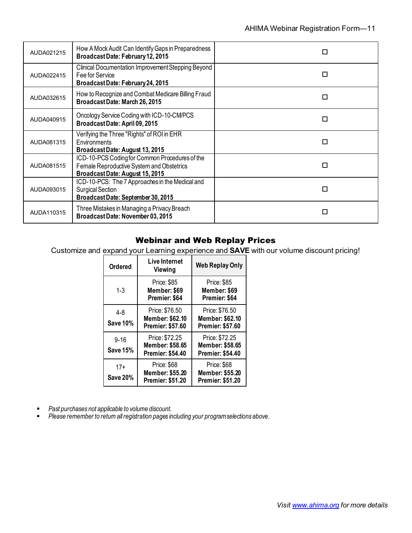| AUDA021215 | How A Mock Audit Can Identify Gaps in Preparedness<br>Broadcast Date: February 12, 2015                                        | П |
|------------|--------------------------------------------------------------------------------------------------------------------------------|---|
| AUDA022415 | Clinical Documentation Improvement Stepping Beyond<br>Fee for Service<br>BroadcastDate: February 24, 2015                      | П |
| AUDA032615 | How to Recognize and Combat Medicare Billing Fraud<br>Broadcast Date: March 26, 2015                                           | П |
| AUDA040915 | Oncology Service Coding with ICD-10-CM/PCS<br>Broadcast Date: April 09, 2015                                                   | п |
| AUDA081315 | Verifying the Three "Rights" of ROI in EHR<br>Environments<br>BroadcastDate: August 13, 2015                                   | п |
| AUDA081515 | ICD-10-PCS Coding for Common Procedures of the<br>Female Reproductive System and Obstetrics<br>Broadcast Date: August 15, 2015 | п |
| AUDA093015 | ICD-10-PCS: The 7 Approaches in the Medical and<br><b>Surgical Section</b><br>BroadcastDate: September 30, 2015                | п |
| AUDA110315 | Three Mistakes in Managing a Privacy Breach<br>Broadcast Date: November 03, 2015                                               | п |

#### Webinar and Web Replay Prices

Customize and expand your Learning experience and **SAVE** with our volume discount pricing!

| <b>Ordered</b>              | <b>Live Internet</b><br>Viewing                                         | <b>Web Replay Only</b>                                              |
|-----------------------------|-------------------------------------------------------------------------|---------------------------------------------------------------------|
| $1 - 3$                     | <b>Price: \$85</b><br>Member: \$69<br>Premier: \$64                     | <b>Price: \$85</b><br>Member: \$69<br>Premier: \$64                 |
| $4 - 8$<br><b>Save 10%</b>  | Price: \$76.50<br>Member: \$62.10<br><b>Premier: \$57.60</b>            | Price: \$76.50<br><b>Member: \$62.10</b><br><b>Premier: \$57.60</b> |
| $9 - 16$<br><b>Save 15%</b> | Price: \$72.25<br><b>Member: \$58.65</b><br><b>Premier: \$54.40</b>     | Price: \$72.25<br><b>Member: \$58.65</b><br><b>Premier: \$54.40</b> |
| $17+$<br><b>Save 20%</b>    | <b>Price: \$68</b><br><b>Member: \$55.20</b><br><b>Premier: \$51.20</b> | Price: \$68<br><b>Member: \$55.20</b><br><b>Premier: \$51.20</b>    |

*Past purchases not applicable to volume discount.* 

*Please remember to return all registration pages including your program selections above*.